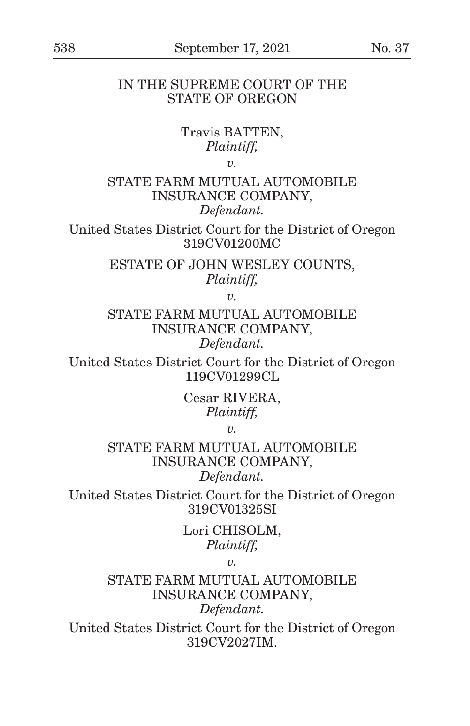## IN THE SUPREME COURT OF THE STATE OF OREGON

# Travis BATTEN, *Plaintiff,*

*v.*

STATE FARM MUTUAL AUTOMOBILE INSURANCE COMPANY, *Defendant.*

United States District Court for the District of Oregon 319CV01200MC

> ESTATE OF JOHN WESLEY COUNTS, *Plaintiff,*

> > *v.*

STATE FARM MUTUAL AUTOMOBILE INSURANCE COMPANY, *Defendant.*

United States District Court for the District of Oregon 119CV01299CL

> Cesar RIVERA, *Plaintiff,*

> > *v.*

STATE FARM MUTUAL AUTOMOBILE INSURANCE COMPANY, *Defendant.*

United States District Court for the District of Oregon 319CV01325SI

> Lori CHISOLM, *Plaintiff,*

> > *v.*

STATE FARM MUTUAL AUTOMOBILE INSURANCE COMPANY, *Defendant.*

United States District Court for the District of Oregon 319CV2027IM.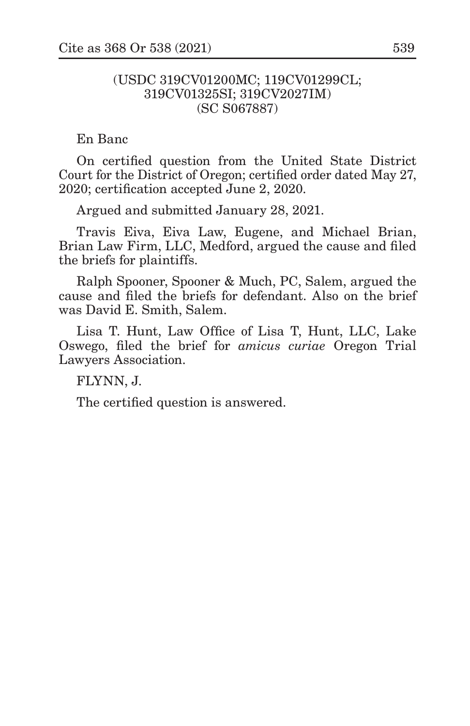## (USDC 319CV01200MC; 119CV01299CL; 319CV01325SI; 319CV2027IM) (SC S067887)

En Banc

On certified question from the United State District Court for the District of Oregon; certified order dated May 27, 2020; certification accepted June 2, 2020.

Argued and submitted January 28, 2021.

Travis Eiva, Eiva Law, Eugene, and Michael Brian, Brian Law Firm, LLC, Medford, argued the cause and filed the briefs for plaintiffs.

Ralph Spooner, Spooner & Much, PC, Salem, argued the cause and filed the briefs for defendant. Also on the brief was David E. Smith, Salem.

Lisa T. Hunt, Law Office of Lisa T, Hunt, LLC, Lake Oswego, filed the brief for *amicus curiae* Oregon Trial Lawyers Association.

FLYNN, J.

The certified question is answered.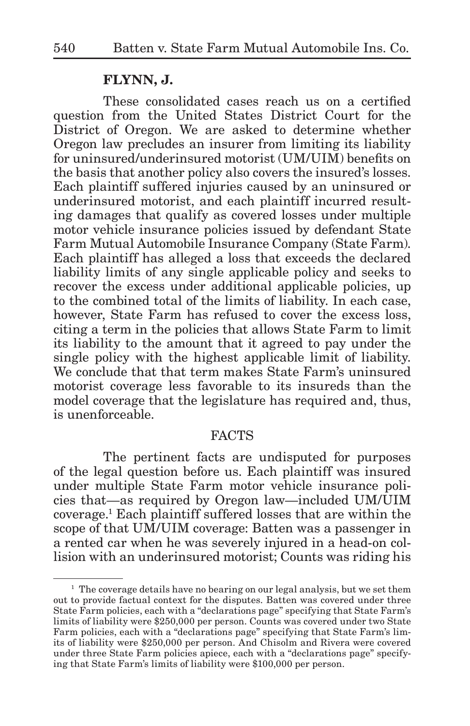## **FLYNN, J.**

These consolidated cases reach us on a certified question from the United States District Court for the District of Oregon. We are asked to determine whether Oregon law precludes an insurer from limiting its liability for uninsured/underinsured motorist (UM/UIM) benefits on the basis that another policy also covers the insured's losses. Each plaintiff suffered injuries caused by an uninsured or underinsured motorist, and each plaintiff incurred resulting damages that qualify as covered losses under multiple motor vehicle insurance policies issued by defendant State Farm Mutual Automobile Insurance Company (State Farm). Each plaintiff has alleged a loss that exceeds the declared liability limits of any single applicable policy and seeks to recover the excess under additional applicable policies, up to the combined total of the limits of liability. In each case, however, State Farm has refused to cover the excess loss, citing a term in the policies that allows State Farm to limit its liability to the amount that it agreed to pay under the single policy with the highest applicable limit of liability. We conclude that that term makes State Farm's uninsured motorist coverage less favorable to its insureds than the model coverage that the legislature has required and, thus, is unenforceable.

#### FACTS

The pertinent facts are undisputed for purposes of the legal question before us. Each plaintiff was insured under multiple State Farm motor vehicle insurance policies that—as required by Oregon law—included UM/UIM coverage.1 Each plaintiff suffered losses that are within the scope of that UM/UIM coverage: Batten was a passenger in a rented car when he was severely injured in a head-on collision with an underinsured motorist; Counts was riding his

<sup>&</sup>lt;sup>1</sup> The coverage details have no bearing on our legal analysis, but we set them out to provide factual context for the disputes. Batten was covered under three State Farm policies, each with a "declarations page" specifying that State Farm's limits of liability were \$250,000 per person. Counts was covered under two State Farm policies, each with a "declarations page" specifying that State Farm's limits of liability were \$250,000 per person. And Chisolm and Rivera were covered under three State Farm policies apiece, each with a "declarations page" specifying that State Farm's limits of liability were \$100,000 per person.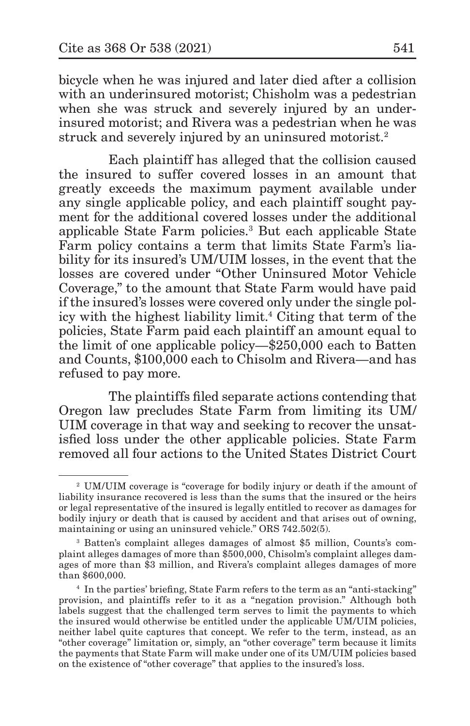bicycle when he was injured and later died after a collision with an underinsured motorist; Chisholm was a pedestrian when she was struck and severely injured by an underinsured motorist; and Rivera was a pedestrian when he was struck and severely injured by an uninsured motorist.<sup>2</sup>

Each plaintiff has alleged that the collision caused the insured to suffer covered losses in an amount that greatly exceeds the maximum payment available under any single applicable policy, and each plaintiff sought payment for the additional covered losses under the additional applicable State Farm policies.3 But each applicable State Farm policy contains a term that limits State Farm's liability for its insured's UM/UIM losses, in the event that the losses are covered under "Other Uninsured Motor Vehicle Coverage," to the amount that State Farm would have paid if the insured's losses were covered only under the single policy with the highest liability limit.<sup>4</sup> Citing that term of the policies, State Farm paid each plaintiff an amount equal to the limit of one applicable policy—\$250,000 each to Batten and Counts, \$100,000 each to Chisolm and Rivera—and has refused to pay more.

The plaintiffs filed separate actions contending that Oregon law precludes State Farm from limiting its UM/ UIM coverage in that way and seeking to recover the unsatisfied loss under the other applicable policies. State Farm removed all four actions to the United States District Court

<sup>2</sup> UM/UIM coverage is "coverage for bodily injury or death if the amount of liability insurance recovered is less than the sums that the insured or the heirs or legal representative of the insured is legally entitled to recover as damages for bodily injury or death that is caused by accident and that arises out of owning, maintaining or using an uninsured vehicle." ORS 742.502(5).

<sup>3</sup> Batten's complaint alleges damages of almost \$5 million, Counts's complaint alleges damages of more than \$500,000, Chisolm's complaint alleges damages of more than \$3 million, and Rivera's complaint alleges damages of more than \$600,000.

<sup>4</sup> In the parties' briefing, State Farm refers to the term as an "anti-stacking" provision, and plaintiffs refer to it as a "negation provision." Although both labels suggest that the challenged term serves to limit the payments to which the insured would otherwise be entitled under the applicable UM/UIM policies, neither label quite captures that concept. We refer to the term, instead, as an "other coverage" limitation or, simply, an "other coverage" term because it limits the payments that State Farm will make under one of its UM/UIM policies based on the existence of "other coverage" that applies to the insured's loss.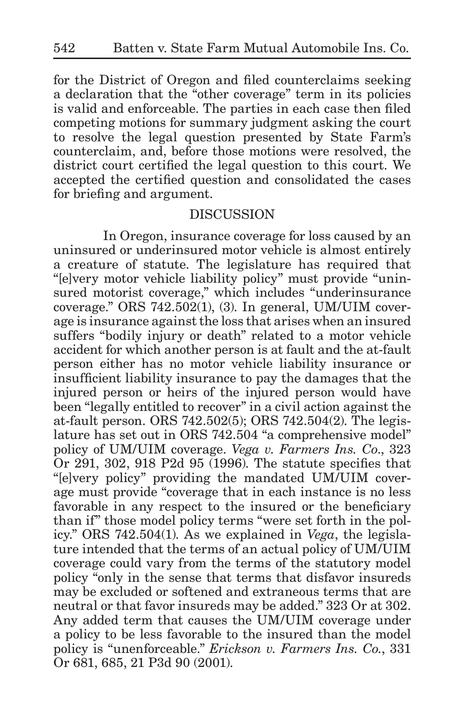for the District of Oregon and filed counterclaims seeking a declaration that the "other coverage" term in its policies is valid and enforceable. The parties in each case then filed competing motions for summary judgment asking the court to resolve the legal question presented by State Farm's counterclaim, and, before those motions were resolved, the district court certified the legal question to this court. We accepted the certified question and consolidated the cases for briefing and argument.

### DISCUSSION

In Oregon, insurance coverage for loss caused by an uninsured or underinsured motor vehicle is almost entirely a creature of statute. The legislature has required that "[e]very motor vehicle liability policy" must provide "uninsured motorist coverage," which includes "underinsurance coverage." ORS 742.502(1), (3). In general, UM/UIM coverage is insurance against the loss that arises when an insured suffers "bodily injury or death" related to a motor vehicle accident for which another person is at fault and the at-fault person either has no motor vehicle liability insurance or insufficient liability insurance to pay the damages that the injured person or heirs of the injured person would have been "legally entitled to recover" in a civil action against the at-fault person. ORS 742.502(5); ORS 742.504(2). The legislature has set out in ORS 742.504 "a comprehensive model" policy of UM/UIM coverage. *Vega v. Farmers Ins. Co*., 323 Or 291, 302, 918 P2d 95 (1996). The statute specifies that "[e]very policy" providing the mandated UM/UIM coverage must provide "coverage that in each instance is no less favorable in any respect to the insured or the beneficiary than if" those model policy terms "were set forth in the policy." ORS 742.504(1). As we explained in *Vega*, the legislature intended that the terms of an actual policy of UM/UIM coverage could vary from the terms of the statutory model policy "only in the sense that terms that disfavor insureds may be excluded or softened and extraneous terms that are neutral or that favor insureds may be added." 323 Or at 302. Any added term that causes the UM/UIM coverage under a policy to be less favorable to the insured than the model policy is "unenforceable." *Erickson v. Farmers Ins. Co.*, 331 Or 681, 685, 21 P3d 90 (2001).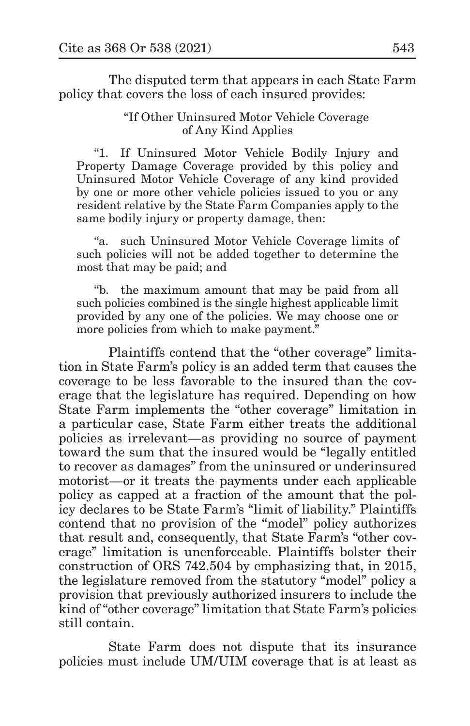The disputed term that appears in each State Farm policy that covers the loss of each insured provides:

> "If Other Uninsured Motor Vehicle Coverage of Any Kind Applies

"1. If Uninsured Motor Vehicle Bodily Injury and Property Damage Coverage provided by this policy and Uninsured Motor Vehicle Coverage of any kind provided by one or more other vehicle policies issued to you or any resident relative by the State Farm Companies apply to the same bodily injury or property damage, then:

"a. such Uninsured Motor Vehicle Coverage limits of such policies will not be added together to determine the most that may be paid; and

"b. the maximum amount that may be paid from all such policies combined is the single highest applicable limit provided by any one of the policies. We may choose one or more policies from which to make payment."

Plaintiffs contend that the "other coverage" limitation in State Farm's policy is an added term that causes the coverage to be less favorable to the insured than the coverage that the legislature has required. Depending on how State Farm implements the "other coverage" limitation in a particular case, State Farm either treats the additional policies as irrelevant—as providing no source of payment toward the sum that the insured would be "legally entitled to recover as damages" from the uninsured or underinsured motorist—or it treats the payments under each applicable policy as capped at a fraction of the amount that the policy declares to be State Farm's "limit of liability." Plaintiffs contend that no provision of the "model" policy authorizes that result and, consequently, that State Farm's "other coverage" limitation is unenforceable. Plaintiffs bolster their construction of ORS 742.504 by emphasizing that, in 2015, the legislature removed from the statutory "model" policy a provision that previously authorized insurers to include the kind of "other coverage" limitation that State Farm's policies still contain.

State Farm does not dispute that its insurance policies must include UM/UIM coverage that is at least as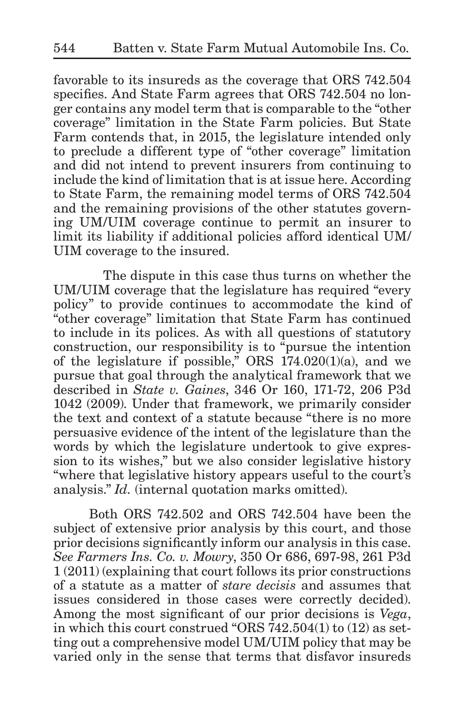favorable to its insureds as the coverage that ORS 742.504 specifies. And State Farm agrees that ORS 742.504 no longer contains any model term that is comparable to the "other coverage" limitation in the State Farm policies. But State Farm contends that, in 2015, the legislature intended only to preclude a different type of "other coverage" limitation and did not intend to prevent insurers from continuing to include the kind of limitation that is at issue here. According to State Farm, the remaining model terms of ORS 742.504 and the remaining provisions of the other statutes governing UM/UIM coverage continue to permit an insurer to limit its liability if additional policies afford identical UM/ UIM coverage to the insured.

The dispute in this case thus turns on whether the UM/UIM coverage that the legislature has required "every policy" to provide continues to accommodate the kind of "other coverage" limitation that State Farm has continued to include in its polices. As with all questions of statutory construction, our responsibility is to "pursue the intention of the legislature if possible," ORS 174.020(1)(a), and we pursue that goal through the analytical framework that we described in *State v. Gaines*, 346 Or 160, 171-72, 206 P3d 1042 (2009). Under that framework, we primarily consider the text and context of a statute because "there is no more persuasive evidence of the intent of the legislature than the words by which the legislature undertook to give expression to its wishes," but we also consider legislative history "where that legislative history appears useful to the court's analysis." *Id.* (internal quotation marks omitted).

Both ORS 742.502 and ORS 742.504 have been the subject of extensive prior analysis by this court, and those prior decisions significantly inform our analysis in this case. *See Farmers Ins. Co. v. Mowry*, 350 Or 686, 697-98, 261 P3d 1 (2011) (explaining that court follows its prior constructions of a statute as a matter of *stare decisis* and assumes that issues considered in those cases were correctly decided). Among the most significant of our prior decisions is *Vega*, in which this court construed "ORS 742.504(1) to (12) as setting out a comprehensive model UM/UIM policy that may be varied only in the sense that terms that disfavor insureds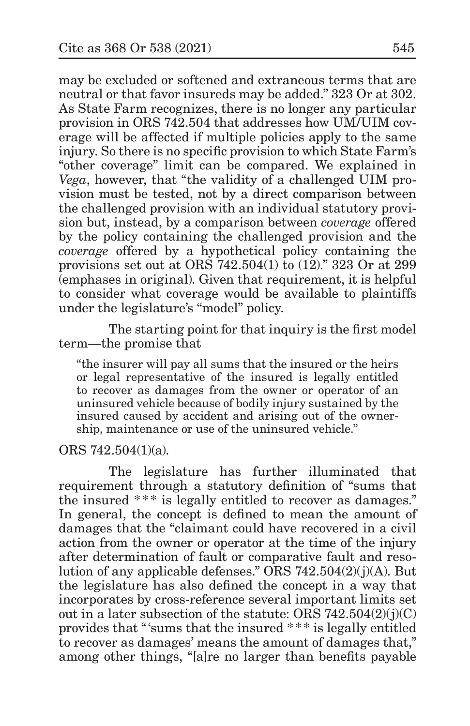may be excluded or softened and extraneous terms that are neutral or that favor insureds may be added." 323 Or at 302. As State Farm recognizes, there is no longer any particular provision in ORS 742.504 that addresses how UM/UIM coverage will be affected if multiple policies apply to the same injury. So there is no specific provision to which State Farm's "other coverage" limit can be compared. We explained in *Vega*, however, that "the validity of a challenged UIM provision must be tested, not by a direct comparison between the challenged provision with an individual statutory provision but, instead, by a comparison between *coverage* offered by the policy containing the challenged provision and the *coverage* offered by a hypothetical policy containing the provisions set out at ORS 742.504(1) to (12)." 323 Or at 299 (emphases in original). Given that requirement, it is helpful to consider what coverage would be available to plaintiffs under the legislature's "model" policy.

The starting point for that inquiry is the first model term—the promise that

"the insurer will pay all sums that the insured or the heirs or legal representative of the insured is legally entitled to recover as damages from the owner or operator of an uninsured vehicle because of bodily injury sustained by the insured caused by accident and arising out of the ownership, maintenance or use of the uninsured vehicle."

ORS 742.504(1)(a).

The legislature has further illuminated that requirement through a statutory definition of "sums that the insured \*\*\* is legally entitled to recover as damages." In general, the concept is defined to mean the amount of damages that the "claimant could have recovered in a civil action from the owner or operator at the time of the injury after determination of fault or comparative fault and resolution of any applicable defenses." ORS  $742.504(2)(j)(A)$ . But the legislature has also defined the concept in a way that incorporates by cross-reference several important limits set out in a later subsection of the statute: ORS  $742.504(2)(j)(C)$ provides that "'sums that the insured \* \*\* is legally entitled to recover as damages' means the amount of damages that," among other things, "[a]re no larger than benefits payable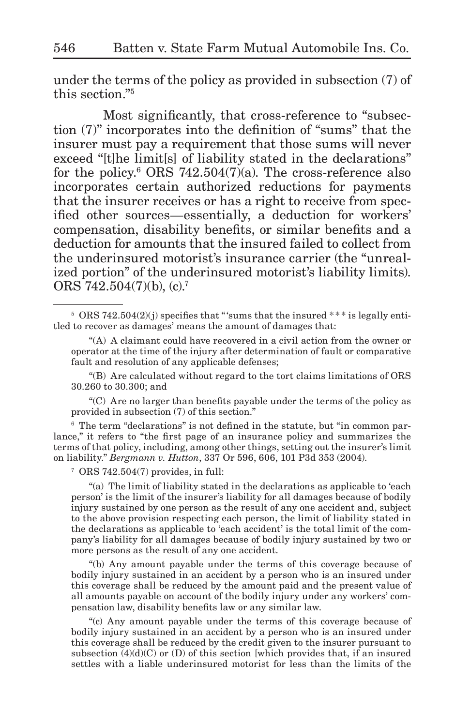under the terms of the policy as provided in subsection (7) of this section."5

Most significantly, that cross-reference to "subsection (7)" incorporates into the definition of "sums" that the insurer must pay a requirement that those sums will never exceed "[t]he limit[s] of liability stated in the declarations" for the policy.<sup>6</sup> ORS 742.504 $(7)(a)$ . The cross-reference also incorporates certain authorized reductions for payments that the insurer receives or has a right to receive from specified other sources—essentially, a deduction for workers' compensation, disability benefits, or similar benefits and a deduction for amounts that the insured failed to collect from the underinsured motorist's insurance carrier (the "unrealized portion" of the underinsured motorist's liability limits). ORS  $742.504(7)(b)$ , (c).<sup>7</sup>

"(B) Are calculated without regard to the tort claims limitations of ORS 30.260 to 30.300; and

"(C) Are no larger than benefits payable under the terms of the policy as provided in subsection (7) of this section."

<sup>6</sup> The term "declarations" is not defined in the statute, but "in common parlance," it refers to "the first page of an insurance policy and summarizes the terms of that policy, including, among other things, setting out the insurer's limit on liability." *Bergmann v. Hutton*, 337 Or 596, 606, 101 P3d 353 (2004).

 $7$  ORS 742.504(7) provides, in full:

"(a) The limit of liability stated in the declarations as applicable to 'each person' is the limit of the insurer's liability for all damages because of bodily injury sustained by one person as the result of any one accident and, subject to the above provision respecting each person, the limit of liability stated in the declarations as applicable to 'each accident' is the total limit of the company's liability for all damages because of bodily injury sustained by two or more persons as the result of any one accident.

"(b) Any amount payable under the terms of this coverage because of bodily injury sustained in an accident by a person who is an insured under this coverage shall be reduced by the amount paid and the present value of all amounts payable on account of the bodily injury under any workers' compensation law, disability benefits law or any similar law.

"(c) Any amount payable under the terms of this coverage because of bodily injury sustained in an accident by a person who is an insured under this coverage shall be reduced by the credit given to the insurer pursuant to subsection  $(4)(d)(C)$  or  $(D)$  of this section [which provides that, if an insured settles with a liable underinsured motorist for less than the limits of the

 $5$  ORS 742.504(2)(j) specifies that "'sums that the insured  $***$  is legally entitled to recover as damages' means the amount of damages that:

<sup>&</sup>quot;(A) A claimant could have recovered in a civil action from the owner or operator at the time of the injury after determination of fault or comparative fault and resolution of any applicable defenses;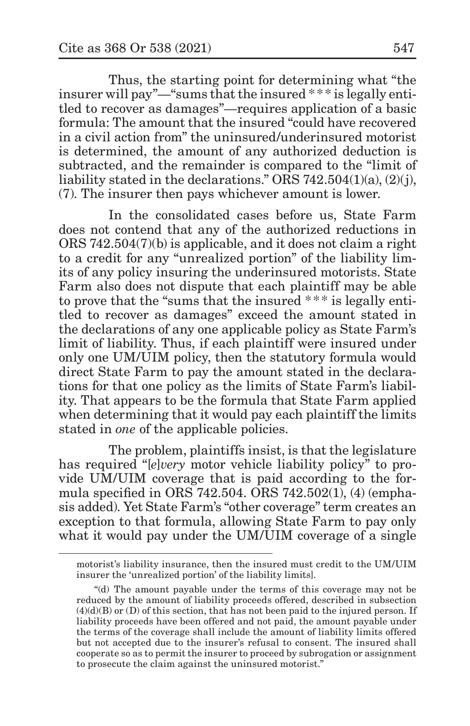Thus, the starting point for determining what "the insurer will pay"—"sums that the insured \* \* \* is legally entitled to recover as damages"—requires application of a basic formula: The amount that the insured "could have recovered in a civil action from" the uninsured/underinsured motorist is determined, the amount of any authorized deduction is subtracted, and the remainder is compared to the "limit of liability stated in the declarations." ORS 742.504(1)(a),  $(2)(i)$ , (7). The insurer then pays whichever amount is lower.

In the consolidated cases before us, State Farm does not contend that any of the authorized reductions in ORS 742.504(7)(b) is applicable, and it does not claim a right to a credit for any "unrealized portion" of the liability limits of any policy insuring the underinsured motorists. State Farm also does not dispute that each plaintiff may be able to prove that the "sums that the insured \* \* \* is legally entitled to recover as damages" exceed the amount stated in the declarations of any one applicable policy as State Farm's limit of liability. Thus, if each plaintiff were insured under only one UM/UIM policy, then the statutory formula would direct State Farm to pay the amount stated in the declarations for that one policy as the limits of State Farm's liability. That appears to be the formula that State Farm applied when determining that it would pay each plaintiff the limits stated in *one* of the applicable policies.

The problem, plaintiffs insist, is that the legislature has required "[*e*]*very* motor vehicle liability policy" to provide UM/UIM coverage that is paid according to the formula specified in ORS 742.504. ORS 742.502(1), (4) (emphasis added). Yet State Farm's "other coverage" term creates an exception to that formula, allowing State Farm to pay only what it would pay under the UM/UIM coverage of a single

motorist's liability insurance, then the insured must credit to the UM/UIM insurer the 'unrealized portion' of the liability limits].

<sup>&</sup>quot;(d) The amount payable under the terms of this coverage may not be reduced by the amount of liability proceeds offered, described in subsection  $(4)(d)(B)$  or  $(D)$  of this section, that has not been paid to the injured person. If liability proceeds have been offered and not paid, the amount payable under the terms of the coverage shall include the amount of liability limits offered but not accepted due to the insurer's refusal to consent. The insured shall cooperate so as to permit the insurer to proceed by subrogation or assignment to prosecute the claim against the uninsured motorist."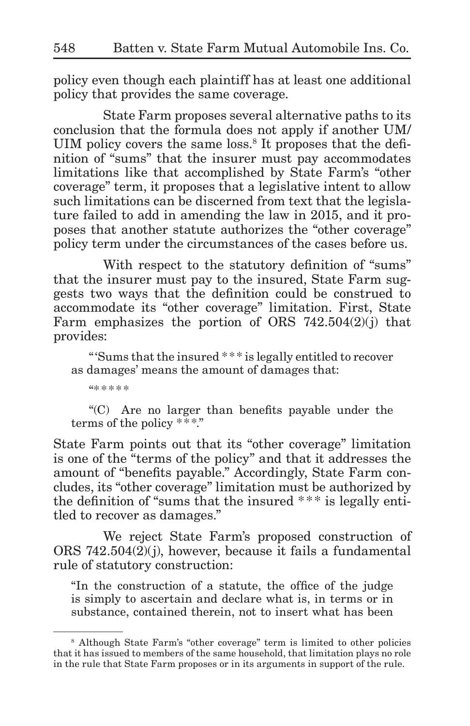policy even though each plaintiff has at least one additional policy that provides the same coverage.

State Farm proposes several alternative paths to its conclusion that the formula does not apply if another UM/ UIM policy covers the same loss.<sup>8</sup> It proposes that the definition of "sums" that the insurer must pay accommodates limitations like that accomplished by State Farm's "other coverage" term, it proposes that a legislative intent to allow such limitations can be discerned from text that the legislature failed to add in amending the law in 2015, and it proposes that another statute authorizes the "other coverage" policy term under the circumstances of the cases before us.

With respect to the statutory definition of "sums" that the insurer must pay to the insured, State Farm suggests two ways that the definition could be construed to accommodate its "other coverage" limitation. First, State Farm emphasizes the portion of ORS  $742.504(2)(i)$  that provides:

"'Sums that the insured \* \*\* is legally entitled to recover as damages' means the amount of damages that:

"\* \*\*\*\*

"(C) Are no larger than benefits payable under the terms of the policy \*\*\*."

State Farm points out that its "other coverage" limitation is one of the "terms of the policy" and that it addresses the amount of "benefits payable." Accordingly, State Farm concludes, its "other coverage" limitation must be authorized by the definition of "sums that the insured \*\*\* is legally entitled to recover as damages."

We reject State Farm's proposed construction of ORS 742.504(2)(j), however, because it fails a fundamental rule of statutory construction:

"In the construction of a statute, the office of the judge is simply to ascertain and declare what is, in terms or in substance, contained therein, not to insert what has been

<sup>8</sup> Although State Farm's "other coverage" term is limited to other policies that it has issued to members of the same household, that limitation plays no role in the rule that State Farm proposes or in its arguments in support of the rule.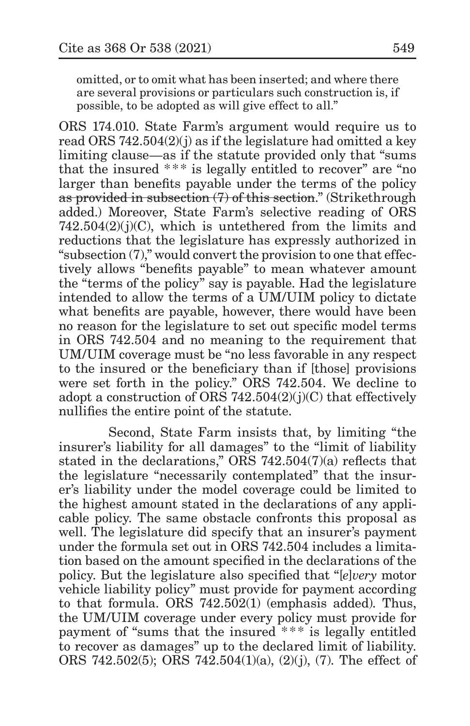omitted, or to omit what has been inserted; and where there are several provisions or particulars such construction is, if possible, to be adopted as will give effect to all."

ORS 174.010. State Farm's argument would require us to read ORS 742.504(2)(j) as if the legislature had omitted a key limiting clause—as if the statute provided only that "sums that the insured  $***$  is legally entitled to recover" are "no larger than benefits payable under the terms of the policy as provided in subsection (7) of this section." (Strikethrough added.) Moreover, State Farm's selective reading of ORS  $742.504(2)(j)(C)$ , which is untethered from the limits and reductions that the legislature has expressly authorized in "subsection (7)," would convert the provision to one that effectively allows "benefits payable" to mean whatever amount the "terms of the policy" say is payable. Had the legislature intended to allow the terms of a UM/UIM policy to dictate what benefits are payable, however, there would have been no reason for the legislature to set out specific model terms in ORS 742.504 and no meaning to the requirement that UM/UIM coverage must be "no less favorable in any respect to the insured or the beneficiary than if [those] provisions were set forth in the policy." ORS 742.504. We decline to adopt a construction of ORS 742.504 $(2)(j)(C)$  that effectively nullifies the entire point of the statute.

Second, State Farm insists that, by limiting "the insurer's liability for all damages" to the "limit of liability stated in the declarations," ORS 742.504(7)(a) reflects that the legislature "necessarily contemplated" that the insurer's liability under the model coverage could be limited to the highest amount stated in the declarations of any applicable policy. The same obstacle confronts this proposal as well. The legislature did specify that an insurer's payment under the formula set out in ORS 742.504 includes a limitation based on the amount specified in the declarations of the policy. But the legislature also specified that "[*e*]*very* motor vehicle liability policy" must provide for payment according to that formula. ORS 742.502(1) (emphasis added). Thus, the UM/UIM coverage under every policy must provide for payment of "sums that the insured \* \*\* is legally entitled to recover as damages" up to the declared limit of liability. ORS 742.502(5); ORS 742.504(1)(a), (2)(j), (7). The effect of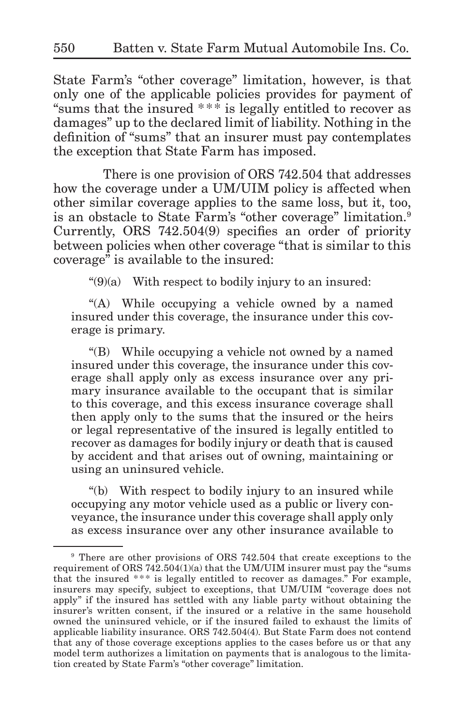State Farm's "other coverage" limitation, however, is that only one of the applicable policies provides for payment of "sums that the insured  $***$  is legally entitled to recover as damages" up to the declared limit of liability. Nothing in the definition of "sums" that an insurer must pay contemplates the exception that State Farm has imposed.

There is one provision of ORS 742.504 that addresses how the coverage under a UM/UIM policy is affected when other similar coverage applies to the same loss, but it, too, is an obstacle to State Farm's "other coverage" limitation.<sup>9</sup> Currently, ORS 742.504(9) specifies an order of priority between policies when other coverage "that is similar to this coverage" is available to the insured:

 $"$(9)(a)$  With respect to bodily injury to an insured:

"(A) While occupying a vehicle owned by a named insured under this coverage, the insurance under this coverage is primary.

"(B) While occupying a vehicle not owned by a named insured under this coverage, the insurance under this coverage shall apply only as excess insurance over any primary insurance available to the occupant that is similar to this coverage, and this excess insurance coverage shall then apply only to the sums that the insured or the heirs or legal representative of the insured is legally entitled to recover as damages for bodily injury or death that is caused by accident and that arises out of owning, maintaining or using an uninsured vehicle.

"(b) With respect to bodily injury to an insured while occupying any motor vehicle used as a public or livery conveyance, the insurance under this coverage shall apply only as excess insurance over any other insurance available to

<sup>9</sup> There are other provisions of ORS 742.504 that create exceptions to the requirement of ORS  $742.504(1)(a)$  that the UM/UIM insurer must pay the "sums" that the insured  $***$  is legally entitled to recover as damages." For example, insurers may specify, subject to exceptions, that UM/UIM "coverage does not apply" if the insured has settled with any liable party without obtaining the insurer's written consent, if the insured or a relative in the same household owned the uninsured vehicle, or if the insured failed to exhaust the limits of applicable liability insurance. ORS 742.504(4). But State Farm does not contend that any of those coverage exceptions applies to the cases before us or that any model term authorizes a limitation on payments that is analogous to the limitation created by State Farm's "other coverage" limitation.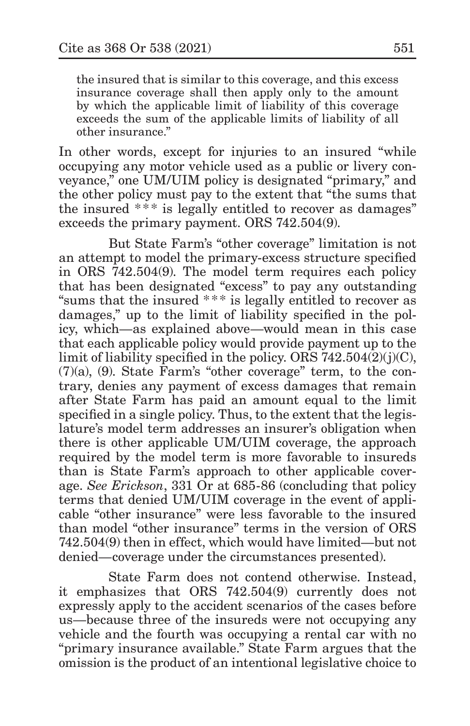the insured that is similar to this coverage, and this excess insurance coverage shall then apply only to the amount by which the applicable limit of liability of this coverage exceeds the sum of the applicable limits of liability of all other insurance."

In other words, except for injuries to an insured "while occupying any motor vehicle used as a public or livery conveyance," one UM/UIM policy is designated "primary," and the other policy must pay to the extent that "the sums that the insured \*\*\* is legally entitled to recover as damages" exceeds the primary payment. ORS 742.504(9).

But State Farm's "other coverage" limitation is not an attempt to model the primary-excess structure specified in ORS 742.504(9). The model term requires each policy that has been designated "excess" to pay any outstanding "sums that the insured \*\*\* is legally entitled to recover as damages," up to the limit of liability specified in the policy, which—as explained above—would mean in this case that each applicable policy would provide payment up to the limit of liability specified in the policy. ORS 742.504(2)(j)(C), (7)(a), (9). State Farm's "other coverage" term, to the contrary, denies any payment of excess damages that remain after State Farm has paid an amount equal to the limit specified in a single policy. Thus, to the extent that the legislature's model term addresses an insurer's obligation when there is other applicable UM/UIM coverage, the approach required by the model term is more favorable to insureds than is State Farm's approach to other applicable coverage. *See Erickson*, 331 Or at 685-86 (concluding that policy terms that denied UM/UIM coverage in the event of applicable "other insurance" were less favorable to the insured than model "other insurance" terms in the version of ORS 742.504(9) then in effect, which would have limited—but not denied—coverage under the circumstances presented).

State Farm does not contend otherwise. Instead, it emphasizes that ORS 742.504(9) currently does not expressly apply to the accident scenarios of the cases before us—because three of the insureds were not occupying any vehicle and the fourth was occupying a rental car with no "primary insurance available." State Farm argues that the omission is the product of an intentional legislative choice to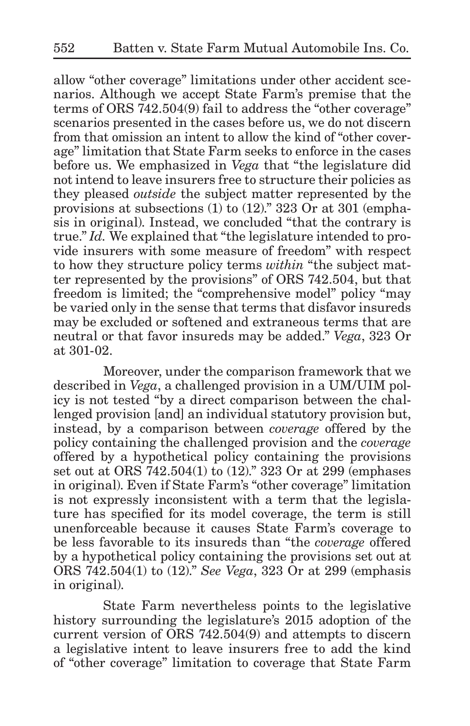allow "other coverage" limitations under other accident scenarios. Although we accept State Farm's premise that the terms of ORS 742.504(9) fail to address the "other coverage" scenarios presented in the cases before us, we do not discern from that omission an intent to allow the kind of "other coverage" limitation that State Farm seeks to enforce in the cases before us. We emphasized in *Vega* that "the legislature did not intend to leave insurers free to structure their policies as they pleased *outside* the subject matter represented by the provisions at subsections (1) to (12)." 323 Or at 301 (emphasis in original). Instead, we concluded "that the contrary is true." *Id.* We explained that "the legislature intended to provide insurers with some measure of freedom" with respect to how they structure policy terms *within* "the subject matter represented by the provisions" of ORS 742.504, but that freedom is limited; the "comprehensive model" policy "may be varied only in the sense that terms that disfavor insureds may be excluded or softened and extraneous terms that are neutral or that favor insureds may be added." *Vega*, 323 Or at 301-02.

Moreover, under the comparison framework that we described in *Vega*, a challenged provision in a UM/UIM policy is not tested "by a direct comparison between the challenged provision [and] an individual statutory provision but, instead, by a comparison between *coverage* offered by the policy containing the challenged provision and the *coverage* offered by a hypothetical policy containing the provisions set out at ORS 742.504(1) to (12)." 323 Or at 299 (emphases in original). Even if State Farm's "other coverage" limitation is not expressly inconsistent with a term that the legislature has specified for its model coverage, the term is still unenforceable because it causes State Farm's coverage to be less favorable to its insureds than "the *coverage* offered by a hypothetical policy containing the provisions set out at ORS 742.504(1) to (12)." *See Vega*, 323 Or at 299 (emphasis in original).

State Farm nevertheless points to the legislative history surrounding the legislature's 2015 adoption of the current version of ORS 742.504(9) and attempts to discern a legislative intent to leave insurers free to add the kind of "other coverage" limitation to coverage that State Farm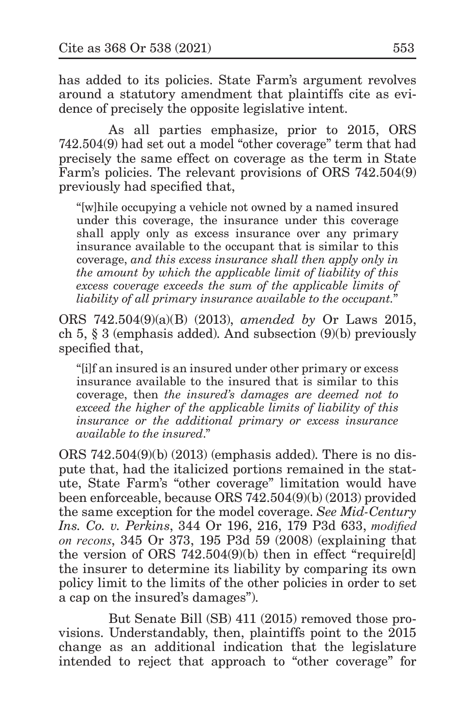has added to its policies. State Farm's argument revolves around a statutory amendment that plaintiffs cite as evidence of precisely the opposite legislative intent.

As all parties emphasize, prior to 2015, ORS 742.504(9) had set out a model "other coverage" term that had precisely the same effect on coverage as the term in State Farm's policies. The relevant provisions of ORS 742.504(9) previously had specified that,

"[w]hile occupying a vehicle not owned by a named insured under this coverage, the insurance under this coverage shall apply only as excess insurance over any primary insurance available to the occupant that is similar to this coverage, *and this excess insurance shall then apply only in the amount by which the applicable limit of liability of this excess coverage exceeds the sum of the applicable limits of liability of all primary insurance available to the occupant.*"

ORS 742.504(9)(a)(B) (2013), *amended by* Or Laws 2015, ch 5, § 3 (emphasis added). And subsection (9)(b) previously specified that,

"[i]f an insured is an insured under other primary or excess insurance available to the insured that is similar to this coverage, then *the insured's damages are deemed not to exceed the higher of the applicable limits of liability of this insurance or the additional primary or excess insurance available to the insured*."

ORS 742.504(9)(b) (2013) (emphasis added). There is no dispute that, had the italicized portions remained in the statute, State Farm's "other coverage" limitation would have been enforceable, because ORS 742.504(9)(b) (2013) provided the same exception for the model coverage. *See Mid-Century Ins. Co. v. Perkins*, 344 Or 196, 216, 179 P3d 633, *modified on recons*, 345 Or 373, 195 P3d 59 (2008) (explaining that the version of ORS 742.504(9)(b) then in effect "require[d] the insurer to determine its liability by comparing its own policy limit to the limits of the other policies in order to set a cap on the insured's damages").

But Senate Bill (SB) 411 (2015) removed those provisions. Understandably, then, plaintiffs point to the 2015 change as an additional indication that the legislature intended to reject that approach to "other coverage" for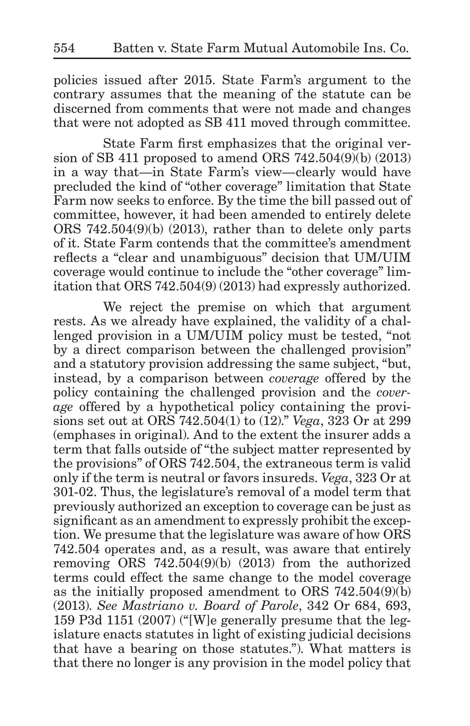policies issued after 2015. State Farm's argument to the contrary assumes that the meaning of the statute can be discerned from comments that were not made and changes that were not adopted as SB 411 moved through committee.

State Farm first emphasizes that the original version of SB 411 proposed to amend ORS 742.504(9)(b) (2013) in a way that—in State Farm's view—clearly would have precluded the kind of "other coverage" limitation that State Farm now seeks to enforce. By the time the bill passed out of committee, however, it had been amended to entirely delete ORS 742.504(9)(b) (2013), rather than to delete only parts of it. State Farm contends that the committee's amendment reflects a "clear and unambiguous" decision that UM/UIM coverage would continue to include the "other coverage" limitation that ORS 742.504(9) (2013) had expressly authorized.

We reject the premise on which that argument rests. As we already have explained, the validity of a challenged provision in a UM/UIM policy must be tested, "not by a direct comparison between the challenged provision" and a statutory provision addressing the same subject, "but, instead, by a comparison between *coverage* offered by the policy containing the challenged provision and the *coverage* offered by a hypothetical policy containing the provisions set out at ORS 742.504(1) to (12)." *Vega*, 323 Or at 299 (emphases in original). And to the extent the insurer adds a term that falls outside of "the subject matter represented by the provisions" of ORS 742.504, the extraneous term is valid only if the term is neutral or favors insureds. *Vega*, 323 Or at 301-02. Thus, the legislature's removal of a model term that previously authorized an exception to coverage can be just as significant as an amendment to expressly prohibit the exception. We presume that the legislature was aware of how ORS 742.504 operates and, as a result, was aware that entirely removing ORS 742.504(9)(b) (2013) from the authorized terms could effect the same change to the model coverage as the initially proposed amendment to ORS 742.504(9)(b) (2013). *See Mastriano v. Board of Parole*, 342 Or 684, 693, 159 P3d 1151 (2007) ("[W]e generally presume that the legislature enacts statutes in light of existing judicial decisions that have a bearing on those statutes."). What matters is that there no longer is any provision in the model policy that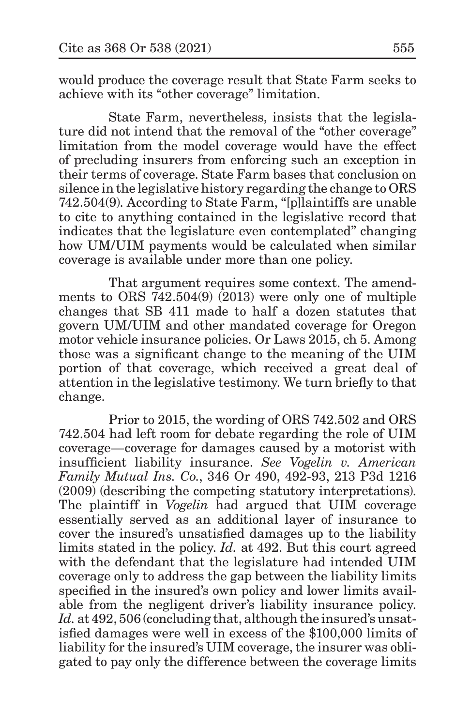would produce the coverage result that State Farm seeks to achieve with its "other coverage" limitation.

State Farm, nevertheless, insists that the legislature did not intend that the removal of the "other coverage" limitation from the model coverage would have the effect of precluding insurers from enforcing such an exception in their terms of coverage. State Farm bases that conclusion on silence in the legislative history regarding the change to ORS 742.504(9). According to State Farm, "[p]laintiffs are unable to cite to anything contained in the legislative record that indicates that the legislature even contemplated" changing how UM/UIM payments would be calculated when similar coverage is available under more than one policy.

That argument requires some context. The amendments to ORS 742.504(9) (2013) were only one of multiple changes that SB 411 made to half a dozen statutes that govern UM/UIM and other mandated coverage for Oregon motor vehicle insurance policies. Or Laws 2015, ch 5. Among those was a significant change to the meaning of the UIM portion of that coverage, which received a great deal of attention in the legislative testimony. We turn briefly to that change.

Prior to 2015, the wording of ORS 742.502 and ORS 742.504 had left room for debate regarding the role of UIM coverage—coverage for damages caused by a motorist with insufficient liability insurance. *See Vogelin v. American Family Mutual Ins. Co.*, 346 Or 490, 492-93, 213 P3d 1216 (2009) (describing the competing statutory interpretations). The plaintiff in *Vogelin* had argued that UIM coverage essentially served as an additional layer of insurance to cover the insured's unsatisfied damages up to the liability limits stated in the policy. *Id.* at 492. But this court agreed with the defendant that the legislature had intended UIM coverage only to address the gap between the liability limits specified in the insured's own policy and lower limits available from the negligent driver's liability insurance policy. Id. at 492, 506 (concluding that, although the insured's unsatisfied damages were well in excess of the \$100,000 limits of liability for the insured's UIM coverage, the insurer was obligated to pay only the difference between the coverage limits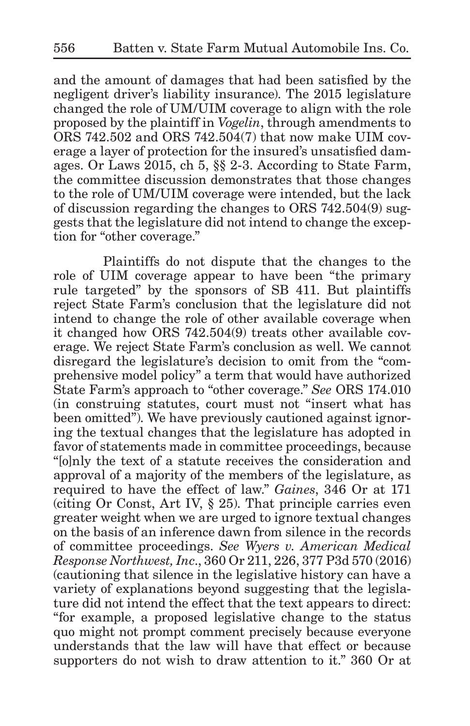and the amount of damages that had been satisfied by the negligent driver's liability insurance). The 2015 legislature changed the role of UM/UIM coverage to align with the role proposed by the plaintiff in *Vogelin*, through amendments to ORS 742.502 and ORS 742.504(7) that now make UIM coverage a layer of protection for the insured's unsatisfied damages. Or Laws 2015, ch 5, §§ 2-3. According to State Farm, the committee discussion demonstrates that those changes to the role of UM/UIM coverage were intended, but the lack of discussion regarding the changes to ORS 742.504(9) suggests that the legislature did not intend to change the exception for "other coverage."

Plaintiffs do not dispute that the changes to the role of UIM coverage appear to have been "the primary rule targeted" by the sponsors of SB 411. But plaintiffs reject State Farm's conclusion that the legislature did not intend to change the role of other available coverage when it changed how ORS 742.504(9) treats other available coverage. We reject State Farm's conclusion as well. We cannot disregard the legislature's decision to omit from the "comprehensive model policy" a term that would have authorized State Farm's approach to "other coverage." *See* ORS 174.010 (in construing statutes, court must not "insert what has been omitted"). We have previously cautioned against ignoring the textual changes that the legislature has adopted in favor of statements made in committee proceedings, because "[o]nly the text of a statute receives the consideration and approval of a majority of the members of the legislature, as required to have the effect of law." *Gaines*, 346 Or at 171 (citing Or Const, Art IV, § 25). That principle carries even greater weight when we are urged to ignore textual changes on the basis of an inference dawn from silence in the records of committee proceedings. *See Wyers v. American Medical Response Northwest, Inc*., 360 Or 211, 226, 377 P3d 570 (2016) (cautioning that silence in the legislative history can have a variety of explanations beyond suggesting that the legislature did not intend the effect that the text appears to direct: "for example, a proposed legislative change to the status quo might not prompt comment precisely because everyone understands that the law will have that effect or because supporters do not wish to draw attention to it." 360 Or at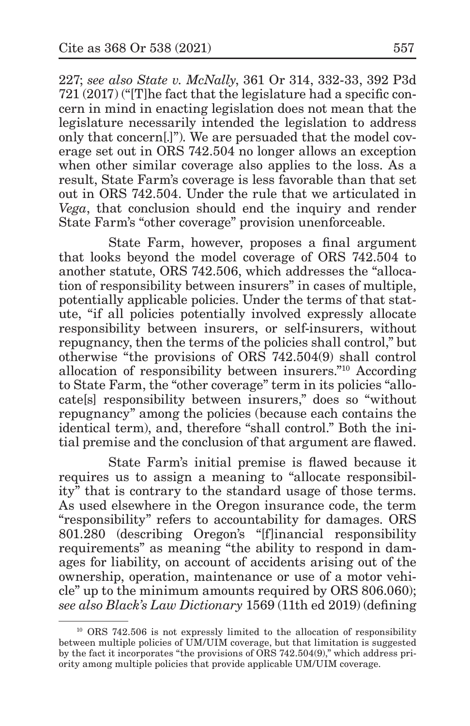227; *see also State v. McNally*, 361 Or 314, 332-33, 392 P3d 721 (2017) ("[T]he fact that the legislature had a specific concern in mind in enacting legislation does not mean that the legislature necessarily intended the legislation to address only that concern[.]"). We are persuaded that the model coverage set out in ORS 742.504 no longer allows an exception when other similar coverage also applies to the loss. As a result, State Farm's coverage is less favorable than that set out in ORS 742.504. Under the rule that we articulated in *Vega*, that conclusion should end the inquiry and render State Farm's "other coverage" provision unenforceable.

State Farm, however, proposes a final argument that looks beyond the model coverage of ORS 742.504 to another statute, ORS 742.506, which addresses the "allocation of responsibility between insurers" in cases of multiple, potentially applicable policies. Under the terms of that statute, "if all policies potentially involved expressly allocate responsibility between insurers, or self-insurers, without repugnancy, then the terms of the policies shall control," but otherwise "the provisions of ORS 742.504(9) shall control allocation of responsibility between insurers."10 According to State Farm, the "other coverage" term in its policies "allocate[s] responsibility between insurers," does so "without repugnancy" among the policies (because each contains the identical term), and, therefore "shall control." Both the initial premise and the conclusion of that argument are flawed.

State Farm's initial premise is flawed because it requires us to assign a meaning to "allocate responsibility" that is contrary to the standard usage of those terms. As used elsewhere in the Oregon insurance code, the term "responsibility" refers to accountability for damages. ORS 801.280 (describing Oregon's "[f]inancial responsibility requirements" as meaning "the ability to respond in damages for liability, on account of accidents arising out of the ownership, operation, maintenance or use of a motor vehicle" up to the minimum amounts required by ORS 806.060); *see also Black's Law Dictionary* 1569 (11th ed 2019) (defining

<sup>&</sup>lt;sup>10</sup> ORS 742.506 is not expressly limited to the allocation of responsibility between multiple policies of UM/UIM coverage, but that limitation is suggested by the fact it incorporates "the provisions of ORS 742.504(9)," which address priority among multiple policies that provide applicable UM/UIM coverage.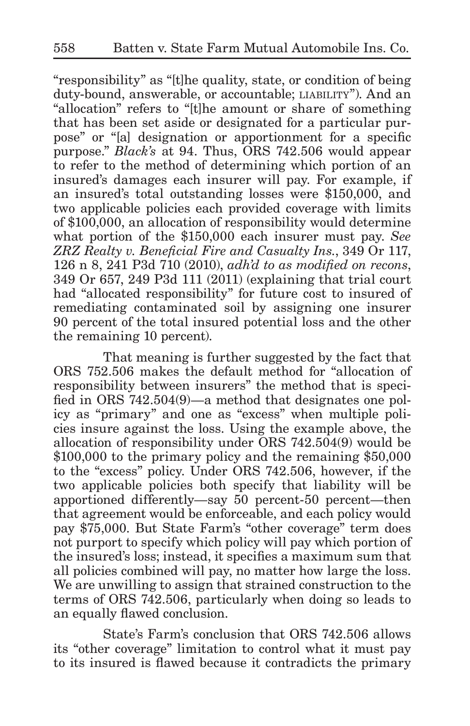"responsibility" as "[t]he quality, state, or condition of being duty-bound, answerable, or accountable; liability"). And an "allocation" refers to "[t]he amount or share of something that has been set aside or designated for a particular purpose" or "[a] designation or apportionment for a specific purpose." *Black's* at 94. Thus, ORS 742.506 would appear to refer to the method of determining which portion of an insured's damages each insurer will pay. For example, if an insured's total outstanding losses were \$150,000, and two applicable policies each provided coverage with limits of \$100,000, an allocation of responsibility would determine what portion of the \$150,000 each insurer must pay. *See ZRZ Realty v. Beneficial Fire and Casualty Ins.*, 349 Or 117, 126 n 8, 241 P3d 710 (2010), *adh'd to as modified on recons*, 349 Or 657, 249 P3d 111 (2011) (explaining that trial court had "allocated responsibility" for future cost to insured of remediating contaminated soil by assigning one insurer 90 percent of the total insured potential loss and the other the remaining 10 percent).

That meaning is further suggested by the fact that ORS 752.506 makes the default method for "allocation of responsibility between insurers" the method that is specified in ORS 742.504(9)—a method that designates one policy as "primary" and one as "excess" when multiple policies insure against the loss. Using the example above, the allocation of responsibility under ORS 742.504(9) would be \$100,000 to the primary policy and the remaining \$50,000 to the "excess" policy. Under ORS 742.506, however, if the two applicable policies both specify that liability will be apportioned differently—say 50 percent-50 percent—then that agreement would be enforceable, and each policy would pay \$75,000. But State Farm's "other coverage" term does not purport to specify which policy will pay which portion of the insured's loss; instead, it specifies a maximum sum that all policies combined will pay, no matter how large the loss. We are unwilling to assign that strained construction to the terms of ORS 742.506, particularly when doing so leads to an equally flawed conclusion.

State's Farm's conclusion that ORS 742.506 allows its "other coverage" limitation to control what it must pay to its insured is flawed because it contradicts the primary